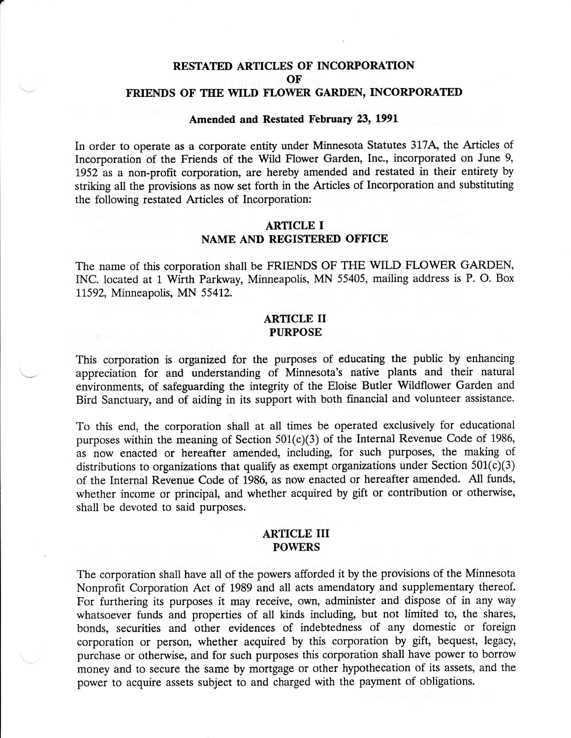## RESTATED ARTICLES OF INCORPORATION  $\overline{OR}$ FRIENDS OF THE WILD FLOWER GARDEN, INCORPORATED

#### Amended and Restated February 23, 199L

In order to operate as a corporate entity under Minnesota Statutes 317A, the Articles of Incorporation of the Friends of the Wild Flower Garden, Inc., incorporated on June 9, 1952 as a non-profit corporation, are hereby amended and restated in their entirety by striking all the provisions as now set forth in the Articles of Incorporation and substituting the following restated Articles of Incorporation:

## **ARTICLE I** NAME AND REGISTERED OFFICE

The name of this corporation shall be FRIENDS OF THE WILD FLOWER GARDEN, INC. located at 1 Wirth Parkway, Minneapolis, MN 55405, mailing address is P. O. Box 11592, Minneapolis, MN 55412.

## ARTICLE II PURPOSE

This corporation is organized for the purposes of educating the public by enhancing appreciation for and understanding of Minnesota's native plants and their natural environments, of safeguarding the integrity of the Eloise Butler Wildflower Garden and Bird Sanctuary, and of aiding in its support \vith both financial and volunteer assistance.

To this end, the corporation shall at all times be operated exclusively for educational purposes within the meaning of Section 501(c)(3) of the Internal Revenue Code of 1986, as now enacted or hereafter amended, including, for such purposes, the making of distributions to organizations that qualify as exempt organizations under Section  $501(c)(3)$ of the Internal Revenue Code of 1986, as now enacted or hereafter amended. All funds, whether income or principal, and whether acquired by gift or contribution or otherwise, shall be devoted to said purposes.

#### ARTICLE III POWERS

The corporation shall have all of the powers afforded it by the provisions of the Minnesota Nonprofit Corporation Act of 1989 and all acts amendatory and supplementary thereof. For furthering its purposes it may receive, own, administer and dispose of in any way whatsoever funds and properties of all kinds including, but not limited to, the shares, bonds, securities and other evidences of indebtedness of any domestic or foreign corporation or person, whether acquired by this corporation by gift, bequest, legary, purchase or otherwise, and for such purposes this corporation shall have power to borrow money and to secure the same by mortgage or other hypothecation of its assets, and the power to acquire assets subject to and charged with the payment of obligations.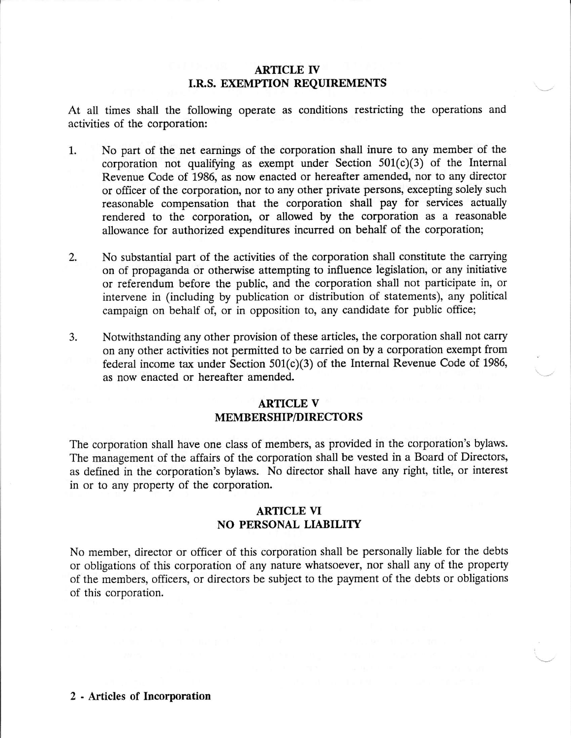### ARTICLE IV **I.R.S. EXEMPTION REQUIREMENTS**

At all times shall the following operate as conditions restricting the operations and activities of the corporation:

- 1. No part of the net earnings of the corporation shall inure to any member of the corporation not qualifying as exempt under Section  $501(c)(3)$  of the Internal Revenue Code of 1986, as now enacted or hereafter amended, nor to any director or officer of the corporation, nor to any other private persons, excepting solely such reasonable compensation that the corporation shall pay for services actually rendered to the corporation, or allowed by the corporation as a reasonable allowance for authorized expenditures incurred on behalf of the corporation;
- $2.$ No substantial part of the activities of the corporation shall constitute the carrying on of propaganda or otherwise attempting to influence legislation, or any initiative or referendum before the public, and the corporation sha1l not participate in, or intervene in (including by publication or distribution of statements), any political campaign on behalf of, or in opposition to, any candidate for public office;
- Notwithstanding any other provision of these articles, the corporation shall not carry 3. on any other activities not permitted to be carried on by a corporation exempt from federal income tax under Section 501(c)(3) of the lnternal Revenue Code of 1986, as now enacted or hereafter amended.

## ARTICLE V MEMBERSHIP/DIRECTORS

The corporation shall have one class of members, as provided in the corporation's bylaws. The management of the affairs of the corporation shall be vested in a Board of Directors, as defined in the corporation's bylaws. No director shall have any right, title, or interest in or to any property of the corporation.

## ARTICLE VI NO PERSONAL LIABILITY

No member, director or officer of this corporation shall be personally liable for the debts or obligations of this corporation of any nature whatsoever, nor shall any of the property of the members, officers, or directors be subject to the payment of the debts or obligations of this corporation.